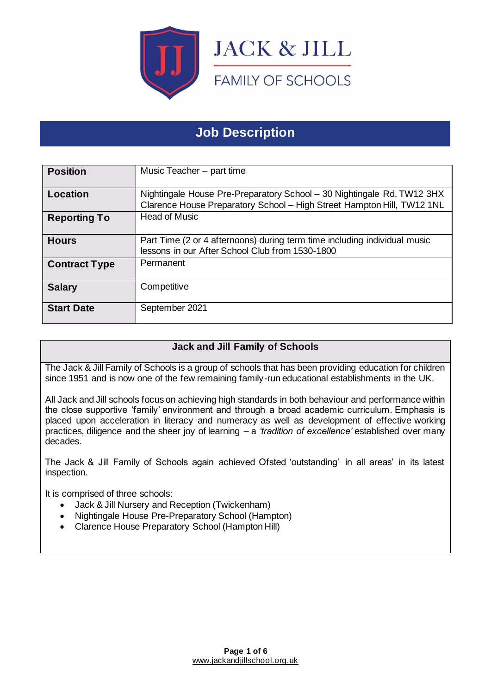

# **Job Description**

| <b>Position</b>      | Music Teacher - part time                                                                                                                        |
|----------------------|--------------------------------------------------------------------------------------------------------------------------------------------------|
| Location             | Nightingale House Pre-Preparatory School - 30 Nightingale Rd, TW12 3HX<br>Clarence House Preparatory School - High Street Hampton Hill, TW12 1NL |
| <b>Reporting To</b>  | <b>Head of Music</b>                                                                                                                             |
| <b>Hours</b>         | Part Time (2 or 4 afternoons) during term time including individual music<br>lessons in our After School Club from 1530-1800                     |
| <b>Contract Type</b> | Permanent                                                                                                                                        |
| <b>Salary</b>        | Competitive                                                                                                                                      |
| <b>Start Date</b>    | September 2021                                                                                                                                   |

## **Jack and Jill Family of Schools**

The Jack & Jill Family of Schools is a group of schools that has been providing education for children since 1951 and is now one of the few remaining family-run educational establishments in the UK.

All Jack and Jill schools focus on achieving high standards in both behaviour and performance within the close supportive 'family' environment and through a broad academic curriculum. Emphasis is placed upon acceleration in literacy and numeracy as well as development of effective working practices, diligence and the sheer joy of learning – a *'tradition of excellence'* established over many decades.

The Jack & Jill Family of Schools again achieved Ofsted 'outstanding' in all areas' in its latest inspection.

It is comprised of three schools:

- Jack & Jill Nursery and Reception (Twickenham)
- Nightingale House Pre-Preparatory School (Hampton)
- Clarence House Preparatory School (Hampton Hill)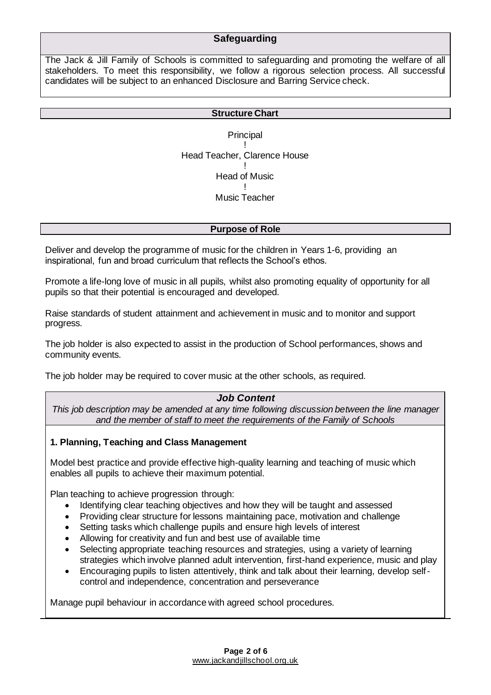## **Safeguarding**

The Jack & Jill Family of Schools is committed to safeguarding and promoting the welfare of all stakeholders. To meet this responsibility, we follow a rigorous selection process. All successful candidates will be subject to an enhanced Disclosure and Barring Service check.

#### **Structure Chart**

**Principal** ! Head Teacher, Clarence House ! Head of Music ! Music Teacher

#### **Purpose of Role**

Deliver and develop the programme of music for the children in Years 1-6, providing an inspirational, fun and broad curriculum that reflects the School's ethos.

Promote a life-long love of music in all pupils, whilst also promoting equality of opportunity for all pupils so that their potential is encouraged and developed.

Raise standards of student attainment and achievement in music and to monitor and support progress.

The job holder is also expected to assist in the production of School performances, shows and community events.

The job holder may be required to cover music at the other schools, as required.

## *Job Content*

*This job description may be amended at any time following discussion between the line manager and the member of staff to meet the requirements of the Family of Schools*

#### **1. Planning, Teaching and Class Management**

Model best practice and provide effective high-quality learning and teaching of music which enables all pupils to achieve their maximum potential.

Plan teaching to achieve progression through:

- Identifying clear teaching objectives and how they will be taught and assessed
- Providing clear structure for lessons maintaining pace, motivation and challenge
- Setting tasks which challenge pupils and ensure high levels of interest
- Allowing for creativity and fun and best use of available time
- Selecting appropriate teaching resources and strategies, using a variety of learning strategies which involve planned adult intervention, first-hand experience, music and play
- Encouraging pupils to listen attentively, think and talk about their learning, develop selfcontrol and independence, concentration and perseverance

Manage pupil behaviour in accordance with agreed school procedures.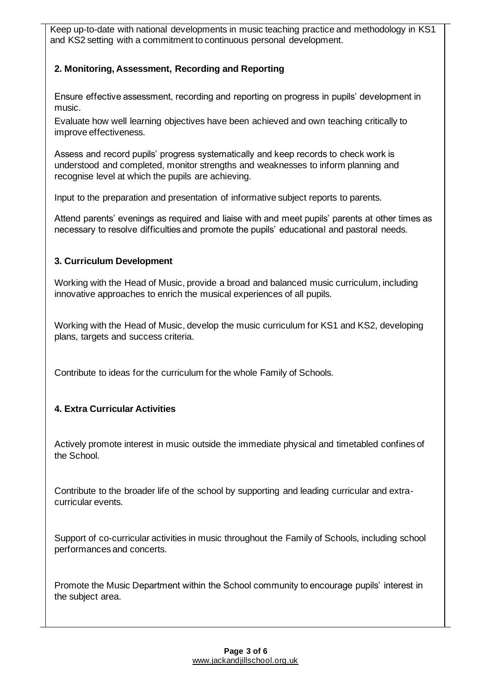Keep up-to-date with national developments in music teaching practice and methodology in KS1 and KS2 setting with a commitment to continuous personal development.

## **2. Monitoring, Assessment, Recording and Reporting**

Ensure effective assessment, recording and reporting on progress in pupils' development in music.

Evaluate how well learning objectives have been achieved and own teaching critically to improve effectiveness.

Assess and record pupils' progress systematically and keep records to check work is understood and completed, monitor strengths and weaknesses to inform planning and recognise level at which the pupils are achieving.

Input to the preparation and presentation of informative subject reports to parents.

Attend parents' evenings as required and liaise with and meet pupils' parents at other times as necessary to resolve difficulties and promote the pupils' educational and pastoral needs.

## **3. Curriculum Development**

Working with the Head of Music, provide a broad and balanced music curriculum, including innovative approaches to enrich the musical experiences of all pupils.

Working with the Head of Music, develop the music curriculum for KS1 and KS2, developing plans, targets and success criteria.

Contribute to ideas for the curriculum for the whole Family of Schools.

## **4. Extra Curricular Activities**

Actively promote interest in music outside the immediate physical and timetabled confines of the School.

Contribute to the broader life of the school by supporting and leading curricular and extracurricular events.

Support of co-curricular activities in music throughout the Family of Schools, including school performances and concerts.

Promote the Music Department within the School community to encourage pupils' interest in the subject area.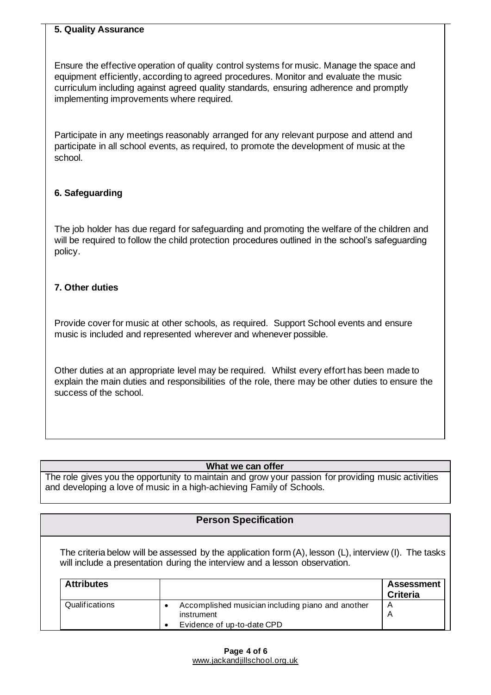#### **5. Quality Assurance**

Ensure the effective operation of quality control systems for music. Manage the space and equipment efficiently, according to agreed procedures. Monitor and evaluate the music curriculum including against agreed quality standards, ensuring adherence and promptly implementing improvements where required.

Participate in any meetings reasonably arranged for any relevant purpose and attend and participate in all school events, as required, to promote the development of music at the school.

## **6. Safeguarding**

The job holder has due regard for safeguarding and promoting the welfare of the children and will be required to follow the child protection procedures outlined in the school's safequarding policy.

#### **7. Other duties**

Provide cover for music at other schools, as required. Support School events and ensure music is included and represented wherever and whenever possible.

Other duties at an appropriate level may be required. Whilst every effort has been made to explain the main duties and responsibilities of the role, there may be other duties to ensure the success of the school.

#### **What we can offer**

The role gives you the opportunity to maintain and grow your passion for providing music activities and developing a love of music in a high-achieving Family of Schools.

## **Person Specification**

The criteria below will be assessed by the application form (A), lesson (L), interview (I). The tasks will include a presentation during the interview and a lesson observation.

| <b>Attributes</b> |                                                   | <b>Assessment</b><br><b>Criteria</b> |
|-------------------|---------------------------------------------------|--------------------------------------|
| Qualifications    | Accomplished musician including piano and another | A                                    |
|                   | instrument                                        |                                      |
|                   | Evidence of up-to-date CPD                        |                                      |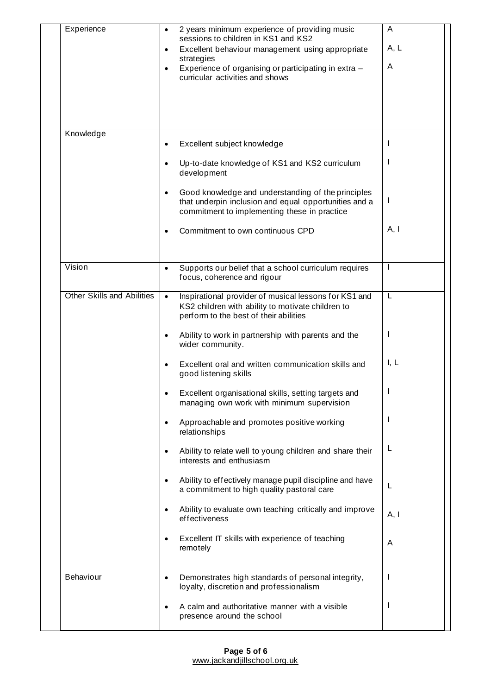| Experience                        | 2 years minimum experience of providing music                                                                                                                            | A            |
|-----------------------------------|--------------------------------------------------------------------------------------------------------------------------------------------------------------------------|--------------|
|                                   | sessions to children in KS1 and KS2<br>Excellent behaviour management using appropriate                                                                                  | A, L         |
|                                   | strategies<br>Experience of organising or participating in extra -<br>$\bullet$<br>curricular activities and shows                                                       | A            |
|                                   |                                                                                                                                                                          |              |
|                                   |                                                                                                                                                                          |              |
|                                   |                                                                                                                                                                          |              |
| Knowledge                         | Excellent subject knowledge<br>$\bullet$                                                                                                                                 |              |
|                                   | Up-to-date knowledge of KS1 and KS2 curriculum<br>development                                                                                                            |              |
|                                   | Good knowledge and understanding of the principles<br>$\bullet$<br>that underpin inclusion and equal opportunities and a<br>commitment to implementing these in practice | J.           |
|                                   | Commitment to own continuous CPD                                                                                                                                         | A, I         |
| Vision                            | Supports our belief that a school curriculum requires<br>$\bullet$<br>focus, coherence and rigour                                                                        | $\mathbf{I}$ |
| <b>Other Skills and Abilities</b> | Inspirational provider of musical lessons for KS1 and<br>$\bullet$<br>KS2 children with ability to motivate children to<br>perform to the best of their abilities        | L            |
|                                   | Ability to work in partnership with parents and the<br>wider community.                                                                                                  |              |
|                                   | Excellent oral and written communication skills and<br>good listening skills                                                                                             | I, L         |
|                                   | Excellent organisational skills, setting targets and<br>managing own work with minimum supervision                                                                       |              |
|                                   | Approachable and promotes positive working<br>$\bullet$<br>relationships                                                                                                 |              |
|                                   | Ability to relate well to young children and share their<br>$\bullet$<br>interests and enthusiasm                                                                        | L            |
|                                   | Ability to effectively manage pupil discipline and have<br>٠<br>a commitment to high quality pastoral care                                                               | L            |
|                                   | Ability to evaluate own teaching critically and improve<br>$\bullet$<br>effectiveness                                                                                    | A, I         |
|                                   | Excellent IT skills with experience of teaching<br>٠<br>remotely                                                                                                         | A            |
| Behaviour                         | Demonstrates high standards of personal integrity,<br>loyalty, discretion and professionalism                                                                            |              |
|                                   | A calm and authoritative manner with a visible<br>٠<br>presence around the school                                                                                        |              |